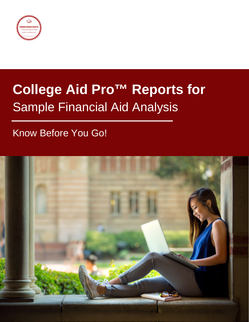

# **College Aid Pro™ Reports for** Sample Financial Aid Analysis

## Know Before You Go!

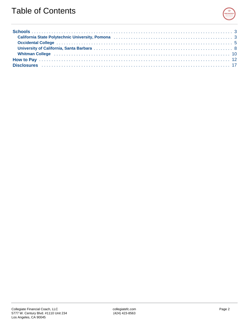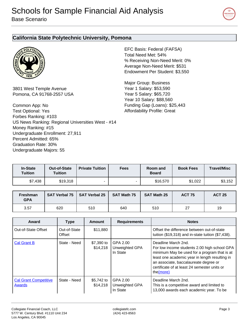

#### <span id="page-2-0"></span>**California State Polytechnic University, Pomona**



3801 West Temple Avenue Pomona, CA 91768-2557 USA

Common App: No Test Optional: Yes Forbes Ranking: #103 US News Ranking: Regional Universities West - #14 Money Ranking: #15 Undergraduate Enrollment: 27,911 Percent Admitted: 65% Graduation Rate: 30% Undergraduate Majors: 55

EFC Basis: Federal (FAFSA) Total Need Met: 54% % Receiving Non-Need Merit: 0% Average Non-Need Merit: \$531 Endowment Per Student: \$3,550

Major Group: Business Year 1 Salary: \$53,590 Year 5 Salary: \$65,720 Year 10 Salary: \$88,560 Funding Gap (Loans): \$25,443 Affordability Profile: Great

| <b>In-State</b><br><b>Tuition</b> | <b>Out-of-State</b><br><b>Tuition</b> | <b>Private Tuition</b> | <b>Fees</b> | <b>Room</b> and<br><b>Board</b> | <b>Book Fees</b> | <b>Travel/Misc</b> |
|-----------------------------------|---------------------------------------|------------------------|-------------|---------------------------------|------------------|--------------------|
| \$7,438                           | \$19,318                              |                        |             | \$16,570                        | \$1.022          | \$3,152            |
|                                   |                                       |                        |             |                                 |                  |                    |

| <b>Freshman</b><br><b>GPA</b> |     | SAT Verbal 75   SAT Verbal 25 | <b>SAT Math 75</b> | <b>SAT Math 25</b> | <b>ACT 75</b> | <b>ACT 25</b> |
|-------------------------------|-----|-------------------------------|--------------------|--------------------|---------------|---------------|
| 3.57                          | 620 | 510                           | 640                | 510                | 27            | 19            |

| Award                                  | <b>Type</b>            | Amount                 | <b>Requirements</b>                    | <b>Notes</b>                                                                                                                                                                                                                                                                |
|----------------------------------------|------------------------|------------------------|----------------------------------------|-----------------------------------------------------------------------------------------------------------------------------------------------------------------------------------------------------------------------------------------------------------------------------|
| Out-of-State Offset                    | Out-of-State<br>Offset | \$11,880               |                                        | Offset the difference between out-of-state<br>tuition (\$19,318) and in-state tuition (\$7,438).                                                                                                                                                                            |
| <b>Cal Grant B</b>                     | State - Need           | \$7,390 to<br>\$14,218 | GPA 2.00<br>Unweighted GPA<br>In State | Deadline March 2nd.<br>For low income students 2.00 high school GPA<br>minimum May be used for a program that is at<br>least one academic year in length resulting in<br>an associate, baccalaureate degree or<br>certificate of at least 24 semester units or<br>the(more) |
| <b>Cal Grant Competitive</b><br>Awards | State - Need           | \$5,742 to<br>\$14.218 | GPA 2.00<br>Unweighted GPA<br>In State | Deadline March 2nd.<br>This is a competitive award and limited to<br>13,000 awards each academic year. To be                                                                                                                                                                |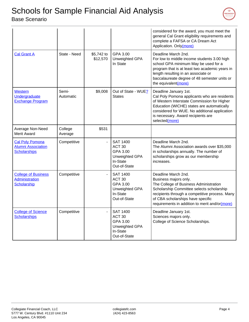

|                                                                            |                    |                        |                                                                                                | considered for the award, you must meet the<br>general Cal Grant eligibility requirements and<br>complete a FAFSA or CA Dream Act<br>Application. Only(more)                                                                                                                 |
|----------------------------------------------------------------------------|--------------------|------------------------|------------------------------------------------------------------------------------------------|------------------------------------------------------------------------------------------------------------------------------------------------------------------------------------------------------------------------------------------------------------------------------|
| <b>Cal Grant A</b>                                                         | State - Need       | \$5,742 to<br>\$12,570 | GPA 3.00<br>Unweighted GPA<br>In State                                                         | Deadline March 2nd.<br>For low to middle income students 3.00 high<br>school GPA minimum May be used for a<br>program that is at least two academic years in<br>length resulting in an associate or<br>baccalaureate degree of 48 semester units or<br>the equivalent(more)  |
| Western<br>Undergraduate<br><b>Exchange Program</b>                        | Semi-<br>Automatic | \$9,008                | Out of State - WUE?<br><b>States</b>                                                           | Deadline January 1st.<br>Cal Poly Pomona applicants who are residents<br>of Western Interstate Commission for Higher<br>Education (WICHE) states are automatically<br>considered for WUE. No additional application<br>is necessary. Award recipients are<br>selected(more)  |
| Average Non-Need<br><b>Merit Award</b>                                     | College<br>Average | \$531                  |                                                                                                |                                                                                                                                                                                                                                                                              |
| <b>Cal Poly Pomona</b><br><b>Alumni Association</b><br><b>Scholarships</b> | Competitive        | $\overline{a}$         | <b>SAT 1400</b><br>ACT <sub>30</sub><br>GPA 3.00<br>Unweighted GPA<br>In-State<br>Out-of-State | Deadline March 2nd.<br>The Alumni Association awards over \$35,000<br>in scholarships annually. The number of<br>scholarships grow as our membership<br>increases.                                                                                                           |
| <b>College of Business</b><br>Administration<br>Scholarship                | Competitive        |                        | <b>SAT 1400</b><br>ACT <sub>30</sub><br>GPA 3.00<br>Unweighted GPA<br>In-State<br>Out-of-State | Deadline March 2nd.<br>Business majors only.<br>The College of Business Administration<br>Scholarship Committee selects scholarship<br>recipients through a competitive process. Many<br>of CBA scholarships have specific<br>requirements in addition to merit and/or(more) |
| <b>College of Science</b><br><b>Scholarships</b>                           | Competitive        |                        | <b>SAT 1400</b><br>ACT <sub>30</sub><br>GPA 3.00<br>Unweighted GPA<br>In-State<br>Out-of-State | Deadline January 1st.<br>Sciences majors only.<br>College of Science Scholarships.                                                                                                                                                                                           |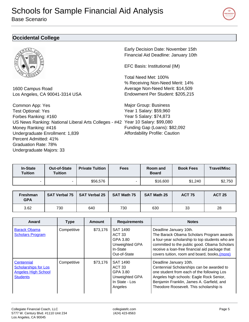<span id="page-4-0"></span>Base Scenario



#### **Occidental College**



1600 Campus Road Los Angeles, CA 90041-3314 USA

Common App: Yes Test Optional: Yes Forbes Ranking: #160 US News Ranking: National Liberal Arts Colleges - #42 Year 10 Salary: \$99,080 Money Ranking: #416 Undergraduate Enrollment: 1,839 Percent Admitted: 41% Graduation Rate: 78% Undergraduate Majors: 33

Early Decision Date: November 15th Financial Aid Deadline: January 10th

EFC Basis: Institutional (IM)

Total Need Met: 100% % Receiving Non-Need Merit: 14% Average Non-Need Merit: \$14,509 Endowment Per Student: \$205,215

Major Group: Business Year 1 Salary: \$59,960 Year 5 Salary: \$74,873 Funding Gap (Loans): \$82,092 Affordability Profile: Caution

| <b>In-State</b><br><b>Tuition</b> | Out-of-State<br><b>Tuition</b> | <b>Private Tuition</b> | <b>Fees</b> | <b>Room</b> and<br><b>Board</b> | <b>Book Fees</b> | <b>Travel/Misc</b> |
|-----------------------------------|--------------------------------|------------------------|-------------|---------------------------------|------------------|--------------------|
|                                   |                                | \$56,576               |             | \$16,600                        | \$1,240          | \$2,750            |

| Freshman<br><b>GPA</b> |     | SAT Verbal 75   SAT Verbal 25 | <b>SAT Math 75</b> | <b>SAT Math 25</b> | <b>ACT 75</b> | <b>ACT 25</b> |
|------------------------|-----|-------------------------------|--------------------|--------------------|---------------|---------------|
| 3.62                   | 730 | 640                           | 730                | 630                | 33            | 28            |

| Award                                                                                      | <b>Type</b> | <b>Amount</b> | <b>Requirements</b>                                                                             | <b>Notes</b>                                                                                                                                                                                                                                                             |
|--------------------------------------------------------------------------------------------|-------------|---------------|-------------------------------------------------------------------------------------------------|--------------------------------------------------------------------------------------------------------------------------------------------------------------------------------------------------------------------------------------------------------------------------|
| <b>Barack Obama</b><br><b>Scholars Program</b>                                             | Competitive | \$73,176      | <b>SAT 1490</b><br>ACT <sub>33</sub><br>GPA 3.80<br>Unweighted GPA<br>In-State<br>Out-of-State  | Deadline January 10th.<br>The Barack Obama Scholars Program awards<br>a four-year scholarship to top students who are<br>committed to the public good. Obama Scholars<br>receive a loan-free financial aid package that<br>covers tuition, room and board, books, (more) |
| Centennial<br><b>Scholarships for Los</b><br><b>Angeles High School</b><br><b>Students</b> | Competitive | \$73,176      | <b>SAT 1490</b><br>ACT <sub>33</sub><br>GPA 3.80<br>Unweighted GPA<br>In State - Los<br>Angeles | Deadline January 10th.<br>Centennial Scholarships can be awarded to<br>one student from each of the following Los<br>Angeles high schools: Eagle Rock Senior,<br>Benjamin Franklin, James A. Garfield, and<br>Theodore Roosevelt. This scholarship is                    |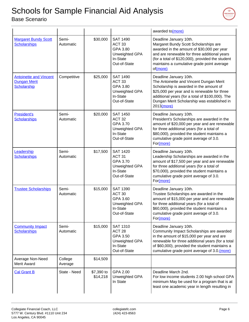

|                                                                     |                    |                        |                                                                                                | awarded to(more)                                                                                                                                                                                                                                                              |
|---------------------------------------------------------------------|--------------------|------------------------|------------------------------------------------------------------------------------------------|-------------------------------------------------------------------------------------------------------------------------------------------------------------------------------------------------------------------------------------------------------------------------------|
| <b>Margaret Bundy Scott</b><br><b>Scholarships</b>                  | Semi-<br>Automatic | \$30,000               | <b>SAT 1490</b><br>ACT <sub>33</sub><br>GPA 3.80<br>Unweighted GPA<br>In-State<br>Out-of-State | Deadline January 10th.<br>Margaret Bundy Scott Scholarships are<br>awarded in the amount of \$30,000 per year<br>and are renewable for three additional years<br>(for a total of \$120,000), provided the student<br>maintains a cumulative grade point average<br>of(more)   |
| <b>Antoinette and Vincent</b><br><b>Dungan Merit</b><br>Scholarship | Competitive        | \$25,000               | <b>SAT 1490</b><br>ACT <sub>33</sub><br>GPA 3.80<br>Unweighted GPA<br>In-State<br>Out-of-State | Deadline January 10th.<br>The Antoinette and Vincent Dungan Merit<br>Scholarship is awarded in the amount of<br>\$25,000 per year and is renewable for three<br>additional years (for a total of \$100,000). The<br>Dungan Merit Scholarship was established in<br>2013(more) |
| President's<br><b>Scholarships</b>                                  | Semi-<br>Automatic | \$20,000               | <b>SAT 1450</b><br>ACT <sub>32</sub><br>GPA 3.70<br>Unweighted GPA<br>In-State<br>Out-of-State | Deadline January 10th.<br>President's Scholarships are awarded in the<br>amount of \$20,000 per year and are renewable<br>for three additional years (for a total of<br>\$80,000), provided the student maintains a<br>cumulative grade point average of 3.0.<br>For(more)    |
| Leadership<br><b>Scholarships</b>                                   | Semi-<br>Automatic | \$17,500               | <b>SAT 1420</b><br>ACT <sub>31</sub><br>GPA 3.70<br>Unweighted GPA<br>In-State<br>Out-of-State | Deadline January 10th.<br>Leadership Scholarships are awarded in the<br>amount of \$17,500 per year and are renewable<br>for three additional years (for a total of<br>\$70,000), provided the student maintains a<br>cumulative grade point average of 3.0.<br>For(more)     |
| <b>Trustee Scholarships</b>                                         | Semi-<br>Automatic | \$15,000               | <b>SAT 1390</b><br>ACT <sub>30</sub><br>GPA 3.60<br>Unweighted GPA<br>In-State<br>Out-of-State | Deadline January 10th.<br>Trustee Scholarships are awarded in the<br>amount of \$15,000 per year and are renewable<br>for three additional years (for a total of<br>\$60,000), provided the student maintains a<br>cumulative grade point average of 3.0.<br>For(more)        |
| <b>Community Impact</b><br><b>Scholarships</b>                      | Semi-<br>Automatic | \$15,000               | <b>SAT 1310</b><br>ACT <sub>28</sub><br>GPA 3.50<br>Unweighted GPA<br>In-State<br>Out-of-State | Deadline January 10th.<br>Community Impact Scholarships are awarded<br>in the amount of \$15,000 per year and are<br>renewable for three additional years (for a total<br>of \$60,000), provided the student maintains a<br>cumulative grade point average of 3.0. (more)     |
| Average Non-Need<br><b>Merit Award</b>                              | College<br>Average | \$14,509               |                                                                                                |                                                                                                                                                                                                                                                                               |
| <b>Cal Grant B</b>                                                  | State - Need       | \$7,390 to<br>\$14,218 | GPA 2.00<br>Unweighted GPA<br>In State                                                         | Deadline March 2nd.<br>For low income students 2.00 high school GPA<br>minimum May be used for a program that is at<br>least one academic year in length resulting in                                                                                                         |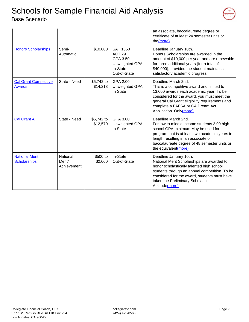|                                               |                                   |                        |                                                                                                | an associate, baccalaureate degree or<br>certificate of at least 24 semester units or<br>the(more)                                                                                                                                                                           |
|-----------------------------------------------|-----------------------------------|------------------------|------------------------------------------------------------------------------------------------|------------------------------------------------------------------------------------------------------------------------------------------------------------------------------------------------------------------------------------------------------------------------------|
| <b>Honors Scholarships</b>                    | Semi-<br>Automatic                | \$10,000               | <b>SAT 1350</b><br>ACT <sub>29</sub><br>GPA 3.50<br>Unweighted GPA<br>In-State<br>Out-of-State | Deadline January 10th.<br>Honors Scholarships are awarded in the<br>amount of \$10,000 per year and are renewable<br>for three additional years (for a total of<br>\$40,000), provided the student maintains<br>satisfactory academic progress.                              |
| <b>Cal Grant Competitive</b><br><b>Awards</b> | State - Need                      | \$5,742 to<br>\$14,218 | GPA 2.00<br>Unweighted GPA<br>In State                                                         | Deadline March 2nd.<br>This is a competitive award and limited to<br>13,000 awards each academic year. To be<br>considered for the award, you must meet the<br>general Cal Grant eligibility requirements and<br>complete a FAFSA or CA Dream Act<br>Application. Only(more) |
| <b>Cal Grant A</b>                            | State - Need                      | \$5,742 to<br>\$12,570 | GPA 3.00<br>Unweighted GPA<br>In State                                                         | Deadline March 2nd.<br>For low to middle income students 3.00 high<br>school GPA minimum May be used for a<br>program that is at least two academic years in<br>length resulting in an associate or<br>baccalaureate degree of 48 semester units or<br>the equivalent(more)  |
| <b>National Merit</b><br><b>Scholarships</b>  | National<br>Merit/<br>Achievement | \$500 to<br>\$2,000    | In-State<br>Out-of-State                                                                       | Deadline January 10th.<br>National Merit Scholarships are awarded to<br>honor scholastically talented high school<br>students through an annual competition. To be<br>considered for the award, students must have<br>taken the Preliminary Scholastic<br>Aptitude(more)     |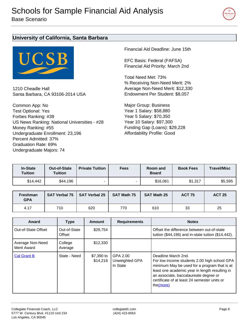

#### <span id="page-7-0"></span>**University of California, Santa Barbara**



1210 Cheadle Hall Santa Barbara, CA 93106-2014 USA

Common App: No Test Optional: Yes Forbes Ranking: #39 US News Ranking: National Universities - #28 Money Ranking: #55 Undergraduate Enrollment: 23,196 Percent Admitted: 37% Graduation Rate: 69% Undergraduate Majors: 74

Financial Aid Deadline: June 15th

EFC Basis: Federal (FAFSA) Financial Aid Priority: March 2nd

Total Need Met: 73% % Receiving Non-Need Merit: 2% Average Non-Need Merit: \$12,330 Endowment Per Student: \$8,057

Major Group: Business Year 1 Salary: \$58,880 Year 5 Salary: \$70,350 Year 10 Salary: \$97,300 Funding Gap (Loans): \$29,228 Affordability Profile: Good

| <b>In-State</b><br><b>Tuition</b> | Out-of-State<br><b>Tuition</b> | <b>Private Tuition</b> | <b>Fees</b> | Room and<br><b>Board</b> | <b>Book Fees</b> | <b>Travel/Misc</b> |
|-----------------------------------|--------------------------------|------------------------|-------------|--------------------------|------------------|--------------------|
| \$14,442                          | \$44,196                       |                        |             | \$16,061                 | \$1.317          | \$5,595            |

| <b>Freshman</b><br><b>GPA</b> |     | SAT Verbal 75   SAT Verbal 25 | <b>SAT Math 75</b> | <b>SAT Math 25</b> | <b>ACT 75</b> | <b>ACT 25</b> |
|-------------------------------|-----|-------------------------------|--------------------|--------------------|---------------|---------------|
| 4.17                          | 710 | 620                           | 770                | 610                | 33            | 25            |

| Award                           | <b>Type</b>            | <b>Amount</b>          | <b>Requirements</b>                    | <b>Notes</b>                                                                                                                                                                                                                                                                |
|---------------------------------|------------------------|------------------------|----------------------------------------|-----------------------------------------------------------------------------------------------------------------------------------------------------------------------------------------------------------------------------------------------------------------------------|
| Out-of-State Offset             | Out-of-State<br>Offset | \$29,754               |                                        | Offset the difference between out-of-state<br>tuition $(\$44,196)$ and in-state tuition $(\$14,442)$ .                                                                                                                                                                      |
| Average Non-Need<br>Merit Award | College<br>Average     | \$12,330               |                                        |                                                                                                                                                                                                                                                                             |
| <b>Cal Grant B</b>              | State - Need           | \$7,390 to<br>\$14.218 | GPA 2.00<br>Unweighted GPA<br>In State | Deadline March 2nd.<br>For low income students 2.00 high school GPA<br>minimum May be used for a program that is at<br>least one academic year in length resulting in<br>an associate, baccalaureate degree or<br>certificate of at least 24 semester units or<br>the(more) |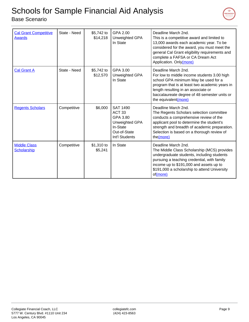

| <b>Cal Grant Competitive</b><br><b>Awards</b> | State - Need | \$5,742 to<br>\$14,218 | GPA 2.00<br>Unweighted GPA<br>In State                                                                           | Deadline March 2nd.<br>This is a competitive award and limited to<br>13,000 awards each academic year. To be<br>considered for the award, you must meet the<br>general Cal Grant eligibility requirements and<br>complete a FAFSA or CA Dream Act<br>Application. Only(more) |
|-----------------------------------------------|--------------|------------------------|------------------------------------------------------------------------------------------------------------------|------------------------------------------------------------------------------------------------------------------------------------------------------------------------------------------------------------------------------------------------------------------------------|
| <b>Cal Grant A</b>                            | State - Need | \$5,742 to<br>\$12,570 | GPA 3.00<br>Unweighted GPA<br>In State                                                                           | Deadline March 2nd.<br>For low to middle income students 3.00 high<br>school GPA minimum May be used for a<br>program that is at least two academic years in<br>length resulting in an associate or<br>baccalaureate degree of 48 semester units or<br>the equivalent(more)  |
| <b>Regents Scholars</b>                       | Competitive  | \$6,000                | <b>SAT 1490</b><br>ACT <sub>33</sub><br>GPA 3.80<br>Unweighted GPA<br>In-State<br>Out-of-State<br>Int'l Students | Deadline March 2nd.<br>The Regents Scholars selection committee<br>conducts a comprehensive review of the<br>applicant pool to determine the student's<br>strength and breadth of academic preparation.<br>Selection is based on a thorough review of<br>the(more)           |
| <b>Middle Class</b><br><b>Scholarship</b>     | Competitive  | \$1,310 to<br>\$5,241  | In State                                                                                                         | Deadline March 2nd.<br>The Middle Class Scholarship (MCS) provides<br>undergraduate students, including students<br>pursuing a teaching credential, with family<br>income up to \$191,000 and assets up to<br>\$191,000 a scholarship to attend University<br>of(more)       |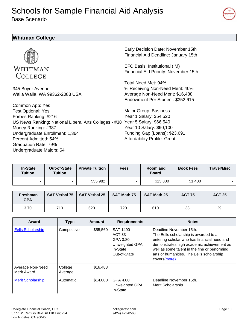<span id="page-9-0"></span>Base Scenario



#### **Whitman College**



345 Boyer Avenue Walla Walla, WA 99362-2083 USA

Common App: Yes Test Optional: Yes Forbes Ranking: #216 US News Ranking: National Liberal Arts Colleges - #38 Year 5 Salary: \$66,540 Money Ranking: #387 Undergraduate Enrollment: 1,364 Percent Admitted: 54% Graduation Rate: 79% Undergraduate Majors: 54

Early Decision Date: November 15th Financial Aid Deadline: January 15th

EFC Basis: Institutional (IM) Financial Aid Priority: November 15th

Total Need Met: 94% % Receiving Non-Need Merit: 40% Average Non-Need Merit: \$16,488 Endowment Per Student: \$352,615

Major Group: Business Year 1 Salary: \$54,520 Year 10 Salary: \$90,100 Funding Gap (Loans): \$23,691 Affordability Profile: Great

| <b>In-State</b><br><b>Tuition</b> | Out-of-State<br><b>Tuition</b> | <b>Private Tuition</b> | <b>Fees</b>              | Room and<br><b>Board</b> | <b>Book Fees</b> | <b>Travel/Misc</b> |
|-----------------------------------|--------------------------------|------------------------|--------------------------|--------------------------|------------------|--------------------|
| $\overline{\phantom{0}}$          | -                              | \$55,982               | $\overline{\phantom{0}}$ | \$13,800                 | \$1,400          |                    |

| <b>Freshman</b><br><b>GPA</b> |     | SAT Verbal 75   SAT Verbal 25 | <b>SAT Math 75</b> | <b>SAT Math 25</b> | <b>ACT 75</b> | <b>ACT 25</b> |
|-------------------------------|-----|-------------------------------|--------------------|--------------------|---------------|---------------|
| 3.70                          | 710 | 620                           | 720                | 610                | 33            | 29            |

| Award                           | <b>Type</b>        | <b>Amount</b> | <b>Requirements</b>                                                                     | <b>Notes</b>                                                                                                                                                                                                                                                                |
|---------------------------------|--------------------|---------------|-----------------------------------------------------------------------------------------|-----------------------------------------------------------------------------------------------------------------------------------------------------------------------------------------------------------------------------------------------------------------------------|
| <b>Eells Scholarship</b>        | Competitive        | \$55,560      | SAT 1490<br>ACT <sub>33</sub><br>GPA 3.80<br>Unweighted GPA<br>In-State<br>Out-of-State | Deadline November 15th.<br>The Eells scholarship is awarded to an<br>entering scholar who has financial need and<br>demonstrates high academic achievement as<br>well as some talent in the fine or performing<br>arts or humanities. The Eells scholarship<br>covers(more) |
| Average Non-Need<br>Merit Award | College<br>Average | \$16,488      |                                                                                         |                                                                                                                                                                                                                                                                             |
| <b>Merit Scholarship</b>        | Automatic          | \$14,000      | GPA 4.00<br><b>Unweighted GPA</b><br>In-State                                           | Deadline November 15th.<br>Merit Scholarship.                                                                                                                                                                                                                               |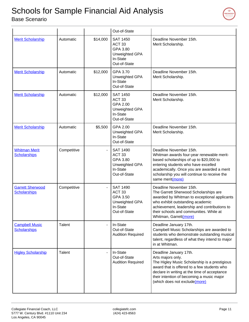

|                                                |             |          | Out-of-State                                                                                   |                                                                                                                                                                                                                                                                           |
|------------------------------------------------|-------------|----------|------------------------------------------------------------------------------------------------|---------------------------------------------------------------------------------------------------------------------------------------------------------------------------------------------------------------------------------------------------------------------------|
| <b>Merit Scholarship</b>                       | Automatic   | \$14,000 | <b>SAT 1450</b><br>ACT <sub>33</sub><br>GPA 3.80<br>Unweighted GPA<br>In-State<br>Out-of-State | Deadline November 15th.<br>Merit Scholarship.                                                                                                                                                                                                                             |
| <b>Merit Scholarship</b>                       | Automatic   | \$12,000 | GPA 3.70<br>Unweighted GPA<br>In-State<br>Out-of-State                                         | Deadline November 15th.<br>Merit Scholarship.                                                                                                                                                                                                                             |
| <b>Merit Scholarship</b>                       | Automatic   | \$12,000 | <b>SAT 1450</b><br>ACT <sub>33</sub><br>GPA 2.00<br>Unweighted GPA<br>In-State<br>Out-of-State | Deadline November 15th.<br>Merit Scholarship.                                                                                                                                                                                                                             |
| <b>Merit Scholarship</b>                       | Automatic   | \$5,500  | GPA 2.00<br>Unweighted GPA<br>In-State<br>Out-of-State                                         | Deadline November 15th.<br>Merit Scholarship.                                                                                                                                                                                                                             |
| <b>Whitman Merit</b><br><b>Scholarships</b>    | Competitive |          | <b>SAT 1490</b><br>ACT <sub>33</sub><br>GPA 3.80<br>Unweighted GPA<br>In-State<br>Out-of-State | Deadline November 15th.<br>Whitman awards four-year renewable merit-<br>based scholarships of up to \$20,000 to<br>entering students who have excelled<br>academically. Once you are awarded a merit<br>scholarship you will continue to receive the<br>same merit(more)  |
| <b>Garrett Sherwood</b><br><b>Scholarships</b> | Competitive |          | <b>SAT 1490</b><br>ACT <sub>33</sub><br>GPA 3.50<br>Unweighted GPA<br>In-State<br>Out-of-State | Deadline November 15th.<br>The Garrett Sherwood Scholarships are<br>awarded by Whitman to exceptional applicants<br>who exhibit outstanding academic<br>achievement, leadership and contributions to<br>their schools and communities. While at<br>Whitman, Garrett(more) |
| <b>Campbell Music</b><br><b>Scholarships</b>   | Talent      |          | In-State<br>Out-of-State<br><b>Audition Required</b>                                           | Deadline January 17th.<br>Campbell Music Scholarships are awarded to<br>students who demonstrate outstanding musical<br>talent, regardless of what they intend to major<br>in at Whitman.                                                                                 |
| <b>Higley Scholarship</b>                      | Talent      |          | In-State<br>Out-of-State<br><b>Audition Required</b>                                           | Deadline January 17th.<br>Arts majors only.<br>The Higley Music Scholarship is a prestigious<br>award that is offered to a few students who<br>declare in writing at the time of acceptance<br>their intention of becoming a music major<br>(which does not exclude(more) |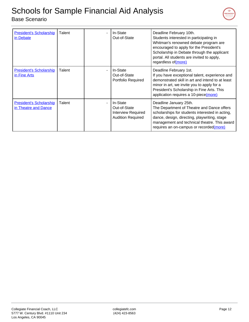

<span id="page-11-0"></span>

| <b>President's Scholarship</b><br>in Debate            | Talent | In-State<br>Out-of-State                                                          | Deadline February 10th.<br>Students interested in participating in<br>Whitman's renowned debate program are<br>encouraged to apply for the President's<br>Scholarship in Debate through the applicant<br>portal. All students are invited to apply,<br>regardless of (more) |
|--------------------------------------------------------|--------|-----------------------------------------------------------------------------------|-----------------------------------------------------------------------------------------------------------------------------------------------------------------------------------------------------------------------------------------------------------------------------|
| <b>President's Scholarship</b><br>in Fine Arts         | Talent | In-State<br>Out-of-State<br>Portfolio Required                                    | Deadline February 1st.<br>If you have exceptional talent, experience and<br>demonstrated skill in art and intend to at least<br>minor in art, we invite you to apply for a<br>President's Scholarship in Fine Arts. This<br>application requires a 10-piece(more)           |
| <b>President's Scholarship</b><br>in Theatre and Dance | Talent | In-State<br>Out-of-State<br><b>Interview Required</b><br><b>Audition Required</b> | Deadline January 25th.<br>The Department of Theatre and Dance offers<br>scholarships for students interested in acting,<br>dance, design, directing, playwriting, stage<br>management and technical theatre. This award<br>requires an on-campus or recorded(more)          |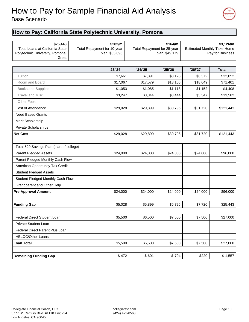

### Base Scenario

#### **How to Pay: California State Polytechnic University, Pomona**

| \$25,443<br><b>Total Loans at California State</b><br>Polytechnic University, Pomona:<br>Great | Total Repayment for 10-year | \$282/m<br>plan, \$33,896 | \$164/m<br>Total Repayment for 25-year<br>plan, \$49,179 |          | \$3,126/m<br><b>Estimated Monthly Take-Home</b><br>Pay for Business |              |
|------------------------------------------------------------------------------------------------|-----------------------------|---------------------------|----------------------------------------------------------|----------|---------------------------------------------------------------------|--------------|
|                                                                                                |                             |                           |                                                          |          |                                                                     |              |
|                                                                                                |                             | '23/24                    | '24/25                                                   | '25/26   | '26/'27                                                             | <b>Total</b> |
| Tuition                                                                                        |                             | \$7,661                   | \$7,891                                                  | \$8,128  | \$8,372                                                             | \$32,052     |
| Room and Board                                                                                 |                             | \$17,067                  | \$17,579                                                 | \$18,106 | \$18,649                                                            | \$71,401     |
| Books and Supplies                                                                             |                             | \$1,053                   | \$1,085                                                  | \$1,118  | \$1,152                                                             | \$4,408      |
| <b>Travel and Misc</b>                                                                         |                             | \$3,247                   | \$3,344                                                  | \$3,444  | \$3,547                                                             | \$13,582     |
| <b>Other Fees</b>                                                                              |                             |                           |                                                          |          |                                                                     |              |
| Cost of Attendance                                                                             |                             | \$29,028                  | \$29,899                                                 | \$30,796 | \$31,720                                                            | \$121,443    |
| <b>Need Based Grants</b>                                                                       |                             |                           |                                                          |          |                                                                     |              |
| Merit Scholarship                                                                              |                             |                           |                                                          |          |                                                                     |              |
| Private Scholarships                                                                           |                             |                           |                                                          |          |                                                                     |              |
| <b>Net Cost</b>                                                                                |                             | \$29,028                  | \$29,899                                                 | \$30,796 | \$31,720                                                            | \$121,443    |
| Total 529 Savings Plan (start of college)                                                      |                             |                           |                                                          |          |                                                                     |              |
| Parent Pledged Assets                                                                          |                             | \$24,000                  | \$24,000                                                 | \$24,000 | \$24,000                                                            | \$96,000     |
| Parent Pledged Monthly Cash Flow                                                               |                             |                           |                                                          |          |                                                                     |              |
| American Opportunity Tax Credit                                                                |                             |                           |                                                          |          |                                                                     |              |
| <b>Student Pledged Assets</b>                                                                  |                             |                           |                                                          |          |                                                                     |              |
| Student Pledged Monthly Cash Flow                                                              |                             |                           |                                                          |          |                                                                     |              |
| <b>Grandparent and Other Help</b>                                                              |                             |                           |                                                          |          |                                                                     |              |
| <b>Pre-Approval Amount</b>                                                                     |                             | \$24,000                  | \$24,000                                                 | \$24,000 | \$24,000                                                            | \$96,000     |
|                                                                                                |                             |                           |                                                          |          |                                                                     |              |
| <b>Funding Gap</b>                                                                             |                             | \$5,028                   | \$5,899                                                  | \$6,796  | \$7,720                                                             | \$25,443     |
| Federal Direct Student Loan                                                                    |                             | \$5,500                   | \$6,500                                                  | \$7,500  | \$7,500                                                             | \$27,000     |
| Private Student Loan                                                                           |                             |                           |                                                          |          |                                                                     |              |
| Federal Direct Parent Plus Loan                                                                |                             |                           |                                                          |          |                                                                     |              |
| <b>HELOC/Other Loans</b>                                                                       |                             |                           |                                                          |          |                                                                     |              |
| <b>Loan Total</b>                                                                              |                             | \$5,500                   | \$6,500                                                  | \$7,500  | \$7,500                                                             | \$27,000     |
|                                                                                                |                             |                           |                                                          |          |                                                                     |              |
| <b>Remaining Funding Gap</b>                                                                   |                             | $$-472$                   | $$-601$                                                  | $$-704$  | \$220                                                               | $$-1,557$    |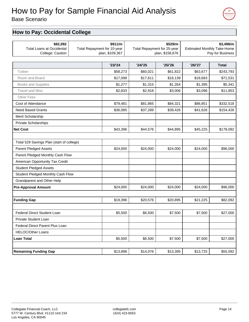Base Scenario

#### **How to Pay: Occidental College**

| \$82,092<br><b>Total Loans at Occidental</b><br>College: Caution | Total Repayment for 10-year | \$911/m<br>plan, \$109,367 | \$529/m<br>Total Repayment for 25-year<br>plan, \$158,676 |          | \$3,498/m<br><b>Estimated Monthly Take-Home</b><br>Pay for Business |              |
|------------------------------------------------------------------|-----------------------------|----------------------------|-----------------------------------------------------------|----------|---------------------------------------------------------------------|--------------|
|                                                                  |                             | '23/24                     | '24/25                                                    | '25/26   | '26/'27                                                             | <b>Total</b> |
| Tuition                                                          |                             | \$58,273                   | \$60,021                                                  | \$61,822 | \$63,677                                                            | \$243,793    |
| Room and Board                                                   |                             | \$17,098                   | \$17,611                                                  | \$18,139 | \$18,683                                                            | \$71,531     |
| Books and Supplies                                               |                             | \$1,277                    | \$1,315                                                   | \$1,354  | \$1,395                                                             | \$5,341      |
| <b>Travel and Misc</b>                                           |                             | \$2,833                    | \$2,918                                                   | \$3,006  | \$3,096                                                             | \$11,853     |
| <b>Other Fees</b>                                                |                             |                            |                                                           |          |                                                                     |              |
| Cost of Attendance                                               |                             | \$79,481                   | \$81,865                                                  | \$84,321 | \$86,851                                                            | \$332,518    |
| <b>Need Based Grants</b>                                         |                             | \$36,085                   | \$37,289                                                  | \$39,426 | \$41,626                                                            | \$154,426    |
| Merit Scholarship                                                |                             |                            |                                                           |          |                                                                     |              |
| <b>Private Scholarships</b>                                      |                             |                            |                                                           |          |                                                                     |              |
| <b>Net Cost</b>                                                  |                             | \$43,396                   | \$44,576                                                  | \$44,895 | \$45,225                                                            | \$178,092    |
|                                                                  |                             |                            |                                                           |          |                                                                     |              |
| Total 529 Savings Plan (start of college)                        |                             |                            |                                                           |          |                                                                     |              |
| <b>Parent Pledged Assets</b>                                     |                             | \$24,000                   | \$24,000                                                  | \$24,000 | \$24,000                                                            | \$96,000     |
| Parent Pledged Monthly Cash Flow                                 |                             |                            |                                                           |          |                                                                     |              |
| American Opportunity Tax Credit                                  |                             |                            |                                                           |          |                                                                     |              |
| <b>Student Pledged Assets</b>                                    |                             |                            |                                                           |          |                                                                     |              |
| Student Pledged Monthly Cash Flow                                |                             |                            |                                                           |          |                                                                     |              |
| Grandparent and Other Help                                       |                             |                            |                                                           |          |                                                                     |              |
| <b>Pre-Approval Amount</b>                                       |                             | \$24,000                   | \$24,000                                                  | \$24,000 | \$24,000                                                            | \$96,000     |
|                                                                  |                             |                            |                                                           |          |                                                                     |              |
| <b>Funding Gap</b>                                               |                             | \$19,396                   | \$20,576                                                  | \$20,895 | \$21,225                                                            | \$82,092     |
|                                                                  |                             |                            |                                                           |          |                                                                     |              |
| Federal Direct Student Loan                                      |                             | \$5,500                    | \$6,500                                                   | \$7,500  | \$7,500                                                             | \$27,000     |
| Private Student Loan                                             |                             |                            |                                                           |          |                                                                     |              |
| Federal Direct Parent Plus Loan                                  |                             |                            |                                                           |          |                                                                     |              |
| <b>HELOC/Other Loans</b>                                         |                             |                            |                                                           |          |                                                                     |              |
| <b>Loan Total</b>                                                |                             | \$5,500                    | \$6,500                                                   | \$7,500  | \$7,500                                                             | \$27,000     |
| <b>Remaining Funding Gap</b>                                     |                             | \$13,896                   | \$14,076                                                  | \$13,395 | \$13,725                                                            | \$55,092     |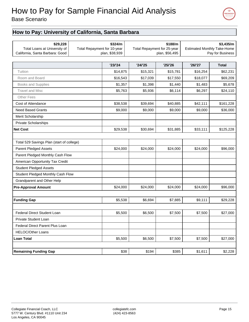



#### **How to Pay: University of California, Santa Barbara**

| \$29,228<br>Total Loans at University of<br>California, Santa Barbara: Good | Total Repayment for 10-year | \$324/m<br>plan, \$38,939 | \$188/m<br>Total Repayment for 25-year<br>plan, \$56,495 |          | \$3,435/m<br><b>Estimated Monthly Take-Home</b><br>Pay for Business |              |
|-----------------------------------------------------------------------------|-----------------------------|---------------------------|----------------------------------------------------------|----------|---------------------------------------------------------------------|--------------|
|                                                                             |                             | '23/24                    | '24/25                                                   | '25/26   | '26/27                                                              | <b>Total</b> |
| Tuition                                                                     |                             | \$14,875                  | \$15,321                                                 | \$15,781 | \$16,254                                                            | \$62,231     |
| Room and Board                                                              |                             | \$16,543                  | \$17,039                                                 | \$17,550 | \$18,077                                                            | \$69,209     |
| Books and Supplies                                                          |                             | \$1,357                   | \$1,398                                                  | \$1,440  | \$1,483                                                             | \$5,678      |
| <b>Travel and Misc</b>                                                      |                             | \$5,763                   | \$5,936                                                  | \$6,114  | \$6,297                                                             | \$24,110     |
| <b>Other Fees</b>                                                           |                             |                           |                                                          |          |                                                                     |              |
| Cost of Attendance                                                          |                             | \$38,538                  | \$39,694                                                 | \$40,885 | \$42,111                                                            | \$161,228    |
| <b>Need Based Grants</b>                                                    |                             | \$9,000                   | \$9,000                                                  | \$9,000  | \$9,000                                                             | \$36,000     |
| Merit Scholarship                                                           |                             |                           |                                                          |          |                                                                     |              |
| Private Scholarships                                                        |                             |                           |                                                          |          |                                                                     |              |
| <b>Net Cost</b>                                                             |                             | \$29,538                  | \$30,694                                                 | \$31,885 | \$33,111                                                            | \$125,228    |
|                                                                             |                             |                           |                                                          |          |                                                                     |              |
| Total 529 Savings Plan (start of college)                                   |                             |                           |                                                          |          |                                                                     |              |
| <b>Parent Pledged Assets</b>                                                |                             | \$24,000                  | \$24,000                                                 | \$24,000 | \$24,000                                                            | \$96,000     |
| Parent Pledged Monthly Cash Flow                                            |                             |                           |                                                          |          |                                                                     |              |
| American Opportunity Tax Credit                                             |                             |                           |                                                          |          |                                                                     |              |
| <b>Student Pledged Assets</b>                                               |                             |                           |                                                          |          |                                                                     |              |
| Student Pledged Monthly Cash Flow                                           |                             |                           |                                                          |          |                                                                     |              |
| Grandparent and Other Help                                                  |                             |                           |                                                          |          |                                                                     |              |
| <b>Pre-Approval Amount</b>                                                  |                             | \$24,000                  | \$24,000                                                 | \$24,000 | \$24,000                                                            | \$96,000     |
|                                                                             |                             |                           |                                                          |          |                                                                     |              |
| <b>Funding Gap</b>                                                          |                             | \$5,538                   | \$6,694                                                  | \$7,885  | \$9,111                                                             | \$29,228     |
|                                                                             |                             |                           |                                                          |          |                                                                     |              |
| Federal Direct Student Loan                                                 |                             | \$5,500                   | \$6,500                                                  | \$7,500  | \$7,500                                                             | \$27,000     |
| Private Student Loan                                                        |                             |                           |                                                          |          |                                                                     |              |
| Federal Direct Parent Plus Loan                                             |                             |                           |                                                          |          |                                                                     |              |
| <b>HELOC/Other Loans</b>                                                    |                             |                           |                                                          |          |                                                                     |              |
| <b>Loan Total</b>                                                           |                             | \$5,500                   | \$6,500                                                  | \$7,500  | \$7,500                                                             | \$27,000     |
| <b>Remaining Funding Gap</b>                                                |                             | \$38                      | \$194                                                    | \$385    | \$1,611                                                             | \$2,228      |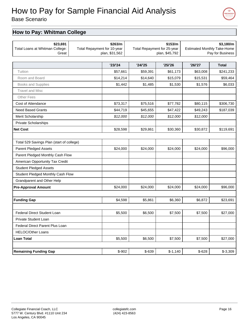Base Scenario

### **How to Pay: Whitman College**

| \$23,691<br>Total Loans at Whitman College:<br>Great | Total Repayment for 10-year<br>plan, \$31,562 |          | Total Repayment for 25-year | \$153/m<br>plan, \$45,792 | <b>Estimated Monthly Take-Home</b> | \$3,180/m<br>Pay for Business |
|------------------------------------------------------|-----------------------------------------------|----------|-----------------------------|---------------------------|------------------------------------|-------------------------------|
|                                                      |                                               | '23/24   | '24/25                      | '25/26                    | '26/'27                            | <b>Total</b>                  |
| Tuition                                              |                                               | \$57,661 | \$59,391                    | \$61,173                  | \$63,008                           | \$241,233                     |
| Room and Board                                       |                                               | \$14,214 | \$14,640                    | \$15,079                  | \$15,531                           | \$59,464                      |
| Books and Supplies                                   |                                               | \$1,442  | \$1,485                     | \$1,530                   | \$1,576                            | \$6,033                       |
| <b>Travel and Misc</b>                               |                                               |          |                             |                           |                                    |                               |
| <b>Other Fees</b>                                    |                                               |          |                             |                           |                                    |                               |
| Cost of Attendance                                   |                                               | \$73,317 | \$75,516                    | \$77,782                  | \$80,115                           | \$306,730                     |
| <b>Need Based Grants</b>                             |                                               | \$44,719 | \$45,655                    | \$47,422                  | \$49,243                           | \$187,039                     |
| Merit Scholarship                                    |                                               | \$12,000 | \$12,000                    | \$12,000                  | \$12,000                           |                               |
| Private Scholarships                                 |                                               |          |                             |                           |                                    |                               |
| <b>Net Cost</b>                                      |                                               | \$28,598 | \$29,861                    | \$30,360                  | \$30,872                           | \$119,691                     |
|                                                      |                                               |          |                             |                           |                                    |                               |
| Total 529 Savings Plan (start of college)            |                                               |          |                             |                           |                                    |                               |
| <b>Parent Pledged Assets</b>                         |                                               | \$24,000 | \$24,000                    | \$24,000                  | \$24,000                           | \$96,000                      |
| Parent Pledged Monthly Cash Flow                     |                                               |          |                             |                           |                                    |                               |
| American Opportunity Tax Credit                      |                                               |          |                             |                           |                                    |                               |
| <b>Student Pledged Assets</b>                        |                                               |          |                             |                           |                                    |                               |
| Student Pledged Monthly Cash Flow                    |                                               |          |                             |                           |                                    |                               |
| Grandparent and Other Help                           |                                               |          |                             |                           |                                    |                               |
| <b>Pre-Approval Amount</b>                           |                                               | \$24,000 | \$24,000                    | \$24,000                  | \$24,000                           | \$96,000                      |
|                                                      |                                               |          |                             |                           |                                    |                               |
| <b>Funding Gap</b>                                   |                                               | \$4,598  | \$5,861                     | \$6,360                   | \$6,872                            | \$23,691                      |
|                                                      |                                               |          |                             |                           |                                    |                               |
| Federal Direct Student Loan                          |                                               | \$5,500  | \$6,500                     | \$7,500                   | \$7,500                            | \$27,000                      |
| <b>Private Student Loan</b>                          |                                               |          |                             |                           |                                    |                               |
| Federal Direct Parent Plus Loan                      |                                               |          |                             |                           |                                    |                               |
| <b>HELOC/Other Loans</b>                             |                                               |          |                             |                           |                                    |                               |
| <b>Loan Total</b>                                    |                                               | \$5,500  | \$6,500                     | \$7,500                   | \$7,500                            | \$27,000                      |
| <b>Remaining Funding Gap</b>                         |                                               | $$-902$  | $$-639$                     | $$-1,140$                 | $$-628$                            | $$-3,309$                     |